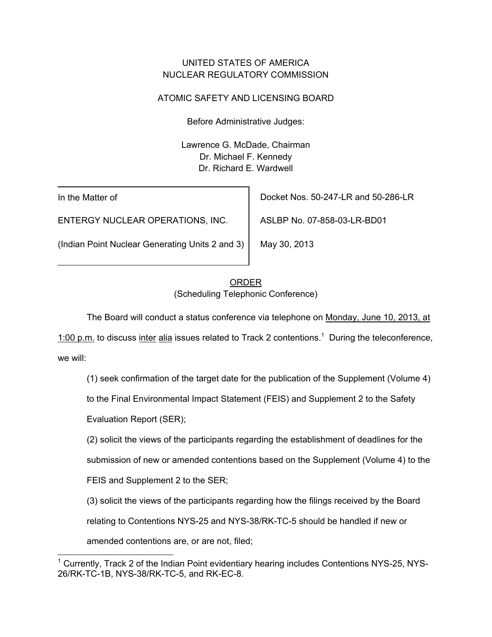## UNITED STATES OF AMERICA NUCLEAR REGULATORY COMMISSION

# ATOMIC SAFETY AND LICENSING BOARD

Before Administrative Judges:

Lawrence G. McDade, Chairman Dr. Michael F. Kennedy Dr. Richard E. Wardwell

In the Matter of

ENTERGY NUCLEAR OPERATIONS, INC.

(Indian Point Nuclear Generating Units 2 and 3)

Docket Nos. 50-247-LR and 50-286-LR

ASLBP No. 07-858-03-LR-BD01

May 30, 2013

# ORDER (Scheduling Telephonic Conference)

The Board will conduct a status conference via telephone on Monday, June 10, 2013, at

1:00 p.m. to discuss inter alia issues related to Track 2 contentions.<sup>1</sup> During the teleconference, we will:

(1) seek confirmation of the target date for the publication of the Supplement (Volume 4)

to the Final Environmental Impact Statement (FEIS) and Supplement 2 to the Safety

Evaluation Report (SER);

(2) solicit the views of the participants regarding the establishment of deadlines for the

submission of new or amended contentions based on the Supplement (Volume 4) to the

FEIS and Supplement 2 to the SER;

(3) solicit the views of the participants regarding how the filings received by the Board

relating to Contentions NYS-25 and NYS-38/RK-TC-5 should be handled if new or

amended contentions are, or are not, filed;

 <sup>1</sup> Currently, Track 2 of the Indian Point evidentiary hearing includes Contentions NYS-25, NYS-26/RK-TC-1B, NYS-38/RK-TC-5, and RK-EC-8.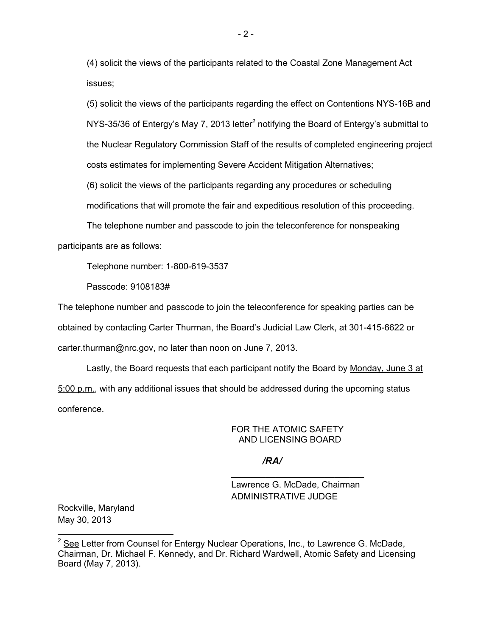(4) solicit the views of the participants related to the Coastal Zone Management Act issues;

(5) solicit the views of the participants regarding the effect on Contentions NYS-16B and NYS-35/36 of Entergy's May 7, 2013 letter<sup>2</sup> notifying the Board of Entergy's submittal to the Nuclear Regulatory Commission Staff of the results of completed engineering project costs estimates for implementing Severe Accident Mitigation Alternatives;

(6) solicit the views of the participants regarding any procedures or scheduling

modifications that will promote the fair and expeditious resolution of this proceeding.

The telephone number and passcode to join the teleconference for nonspeaking participants are as follows:

Telephone number: 1-800-619-3537

Passcode: 9108183#

The telephone number and passcode to join the teleconference for speaking parties can be obtained by contacting Carter Thurman, the Board's Judicial Law Clerk, at 301-415-6622 or carter.thurman@nrc.gov, no later than noon on June 7, 2013.

Lastly, the Board requests that each participant notify the Board by Monday, June 3 at 5:00 p.m., with any additional issues that should be addressed during the upcoming status conference.

### FOR THE ATOMIC SAFETY AND LICENSING BOARD

### */RA/*

Lawrence G. McDade, Chairman ADMINISTRATIVE JUDGE

\_\_\_\_\_\_\_\_\_\_\_\_\_\_\_\_\_\_\_\_\_\_\_\_\_\_\_

Rockville, Maryland May 30, 2013

-

 $2$  See Letter from Counsel for Entergy Nuclear Operations, Inc., to Lawrence G. McDade, Chairman, Dr. Michael F. Kennedy, and Dr. Richard Wardwell, Atomic Safety and Licensing Board (May 7, 2013).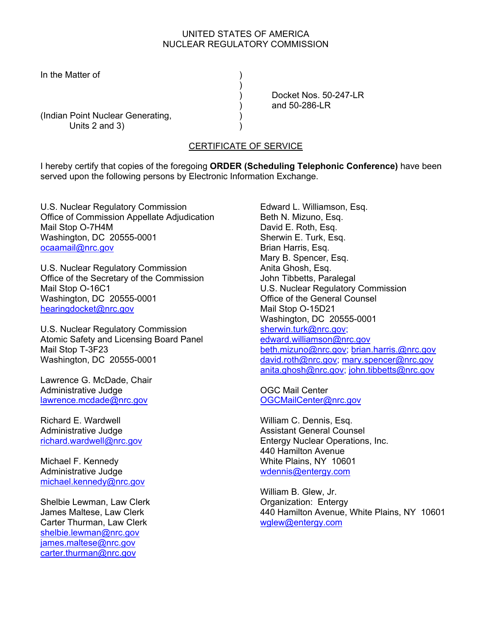#### UNITED STATES OF AMERICA NUCLEAR REGULATORY COMMISSION

In the Matter of (1)

 ) Docket Nos. 50-247-LR ) and 50-286-LR

(Indian Point Nuclear Generating, Units  $2$  and  $3)$ 

 $)$ 

## CERTIFICATE OF SERVICE

I hereby certify that copies of the foregoing **ORDER (Scheduling Telephonic Conference)** have been served upon the following persons by Electronic Information Exchange.

U.S. Nuclear Regulatory Commission Office of Commission Appellate Adjudication Mail Stop O-7H4M Washington, DC 20555-0001 ocaamail@nrc.gov

U.S. Nuclear Regulatory Commission Office of the Secretary of the Commission Mail Stop O-16C1 Washington, DC 20555-0001 hearingdocket@nrc.gov

U.S. Nuclear Regulatory Commission Atomic Safety and Licensing Board Panel Mail Stop T-3F23 Washington, DC 20555-0001

Lawrence G. McDade, Chair Administrative Judge lawrence.mcdade@nrc.gov

Richard E. Wardwell Administrative Judge richard.wardwell@nrc.gov

Michael F. Kennedy Administrative Judge michael.kennedy@nrc.gov

Shelbie Lewman, Law Clerk James Maltese, Law Clerk Carter Thurman, Law Clerk shelbie.lewman@nrc.gov james.maltese@nrc.gov carter.thurman@nrc.gov

Edward L. Williamson, Esq. Beth N. Mizuno, Esq. David E. Roth, Esq. Sherwin E. Turk, Esq. Brian Harris, Esq. Mary B. Spencer, Esq. Anita Ghosh, Esq. John Tibbetts, Paralegal U.S. Nuclear Regulatory Commission Office of the General Counsel Mail Stop O-15D21 Washington, DC 20555-0001 sherwin.turk@nrc.gov; edward.williamson@nrc.gov beth.mizuno@nrc.gov; brian.harris.@nrc.gov david.roth@nrc.gov; mary.spencer@nrc.gov anita.ghosh@nrc.gov; john.tibbetts@nrc.gov

OGC Mail Center OGCMailCenter@nrc.gov

William C. Dennis, Esq. Assistant General Counsel Entergy Nuclear Operations, Inc. 440 Hamilton Avenue White Plains, NY 10601 wdennis@entergy.com

William B. Glew, Jr. Organization: Entergy 440 Hamilton Avenue, White Plains, NY 10601 wglew@entergy.com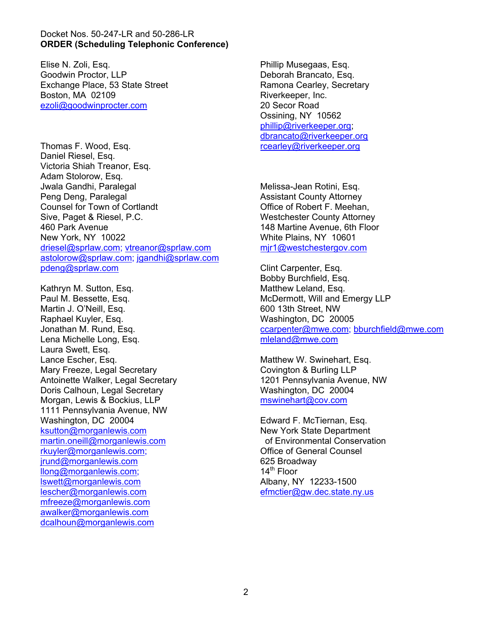#### Docket Nos. 50-247-LR and 50-286-LR **ORDER (Scheduling Telephonic Conference)**

Elise N. Zoli, Esq. Goodwin Proctor, LLP Exchange Place, 53 State Street Boston, MA 02109 ezoli@goodwinprocter.com

Thomas F. Wood, Esq. Daniel Riesel, Esq. Victoria Shiah Treanor, Esq. Adam Stolorow, Esq. Jwala Gandhi, Paralegal Peng Deng, Paralegal Counsel for Town of Cortlandt Sive, Paget & Riesel, P.C. 460 Park Avenue New York, NY 10022 driesel@sprlaw.com; vtreanor@sprlaw.com astolorow@sprlaw.com; jgandhi@sprlaw.com pdeng@sprlaw.com

Kathryn M. Sutton, Esq. Paul M. Bessette, Esq. Martin J. O'Neill, Esq. Raphael Kuyler, Esq. Jonathan M. Rund, Esq. Lena Michelle Long, Esq. Laura Swett, Esq. Lance Escher, Esq. Mary Freeze, Legal Secretary Antoinette Walker, Legal Secretary Doris Calhoun, Legal Secretary Morgan, Lewis & Bockius, LLP 1111 Pennsylvania Avenue, NW Washington, DC 20004 ksutton@morganlewis.com martin.oneill@morganlewis.com rkuyler@morganlewis.com; jrund@morganlewis.com llong@morganlewis.com; lswett@morganlewis.com lescher@morganlewis.com mfreeze@morganlewis.com awalker@morganlewis.com dcalhoun@morganlewis.com

Phillip Musegaas, Esq. Deborah Brancato, Esq. Ramona Cearley, Secretary Riverkeeper, Inc. 20 Secor Road Ossining, NY 10562 phillip@riverkeeper.org; dbrancato@riverkeeper.org rcearley@riverkeeper.org

Melissa-Jean Rotini, Esq. Assistant County Attorney Office of Robert F. Meehan, Westchester County Attorney 148 Martine Avenue, 6th Floor White Plains, NY 10601 mjr1@westchestergov.com

Clint Carpenter, Esq. Bobby Burchfield, Esq. Matthew Leland, Esq. McDermott, Will and Emergy LLP 600 13th Street, NW Washington, DC 20005 ccarpenter@mwe.com; bburchfield@mwe.com mleland@mwe.com

Matthew W. Swinehart, Esq. Covington & Burling LLP 1201 Pennsylvania Avenue, NW Washington, DC 20004 mswinehart@cov.com

Edward F. McTiernan, Esq. New York State Department of Environmental Conservation Office of General Counsel 625 Broadway  $14^{\text{th}}$  Floor Albany, NY 12233-1500 efmctier@gw.dec.state.ny.us